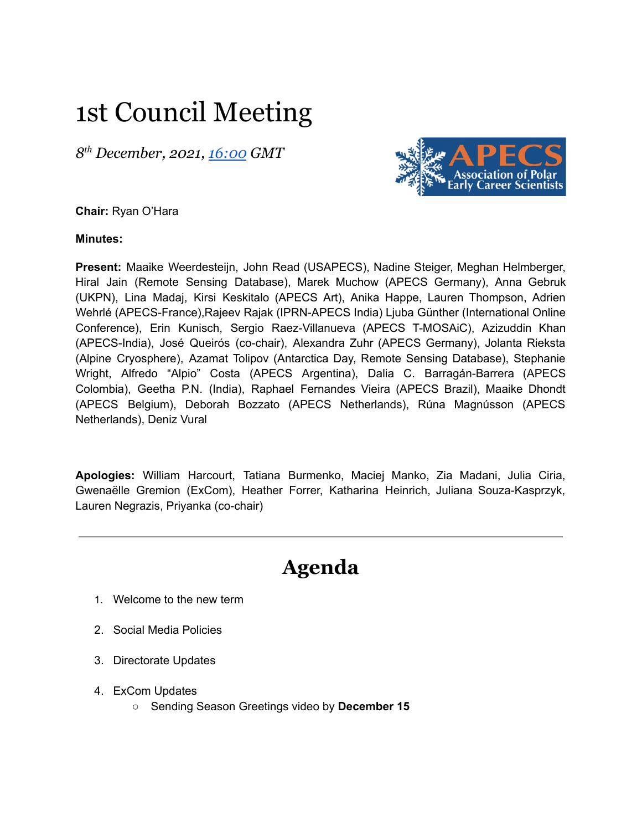# 1st Council Meeting

*8 th December, 2021, [16:00](https://us02web.zoom.us/j/85736437370?pwd=WlZiaGxyVURER2NZTjU5SkNza3lIQT09) GMT*



**Chair:** Ryan O'Hara

**Minutes:**

**Present:** Maaike Weerdesteijn, John Read (USAPECS), Nadine Steiger, Meghan Helmberger, Hiral Jain (Remote Sensing Database), Marek Muchow (APECS Germany), Anna Gebruk (UKPN), Lina Madaj, Kirsi Keskitalo (APECS Art), Anika Happe, Lauren Thompson, Adrien Wehrlé (APECS-France),Rajeev Rajak (IPRN-APECS India) Ljuba Günther (International Online Conference), Erin Kunisch, Sergio Raez-Villanueva (APECS T-MOSAiC), Azizuddin Khan (APECS-India), José Queirós (co-chair), Alexandra Zuhr (APECS Germany), Jolanta Rieksta (Alpine Cryosphere), Azamat Tolipov (Antarctica Day, Remote Sensing Database), Stephanie Wright, Alfredo "Alpio" Costa (APECS Argentina), Dalia C. Barragán-Barrera (APECS Colombia), Geetha P.N. (India), Raphael Fernandes Vieira (APECS Brazil), Maaike Dhondt (APECS Belgium), Deborah Bozzato (APECS Netherlands), Rúna Magnússon (APECS Netherlands), Deniz Vural

**Apologies:** William Harcourt, Tatiana Burmenko, Maciej Manko, Zia Madani, Julia Ciria, Gwenaëlle Gremion (ExCom), Heather Forrer, Katharina Heinrich, Juliana Souza-Kasprzyk, Lauren Negrazis, Priyanka (co-chair)

## **Agenda**

- 1. Welcome to the new term
- 2. Social Media Policies
- 3. Directorate Updates
- 4. ExCom Updates
	- Sending Season Greetings video by **December 15**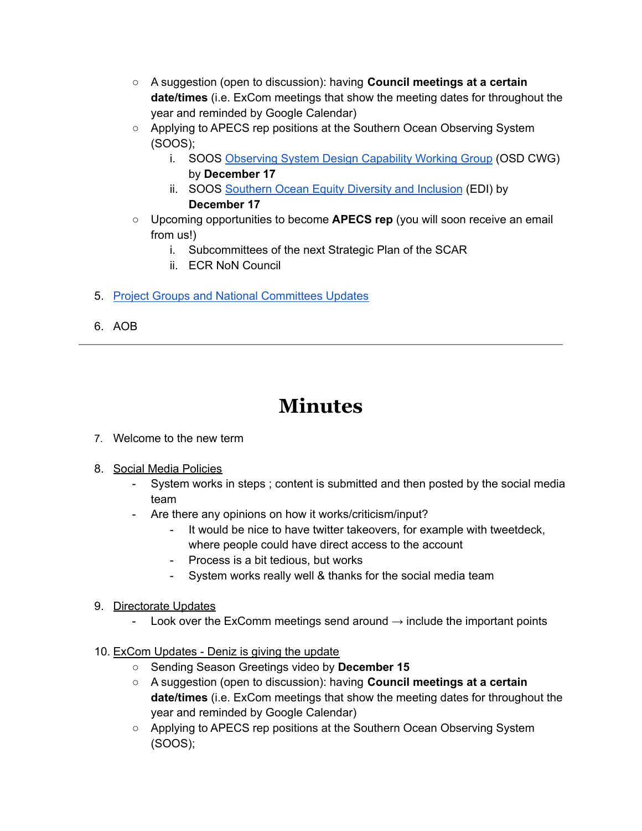- A suggestion (open to discussion): having **Council meetings at a certain date/times** (i.e. ExCom meetings that show the meeting dates for throughout the year and reminded by Google Calendar)
- Applying to APECS rep positions at the Southern Ocean Observing System (SOOS);
	- i. SOOS [Observing](https://www.apecs.is/news/apecs-news/4818-deadline-extended-looking-for-an-early-career-researcher-to-join-the-the-soos-observing-system-design-capability-working-group.html) System Design Capability Working Group (OSD CWG) by **December 17**
	- ii. SOOS [Southern](https://www.apecs.is/news/apecs-news/4819-call-for-apecs-representation-on-the-soos-equity-diversity-and-inclusion-initiative.html) Ocean Equity Diversity and Inclusion (EDI) by **December 17**
- Upcoming opportunities to become **APECS rep** (you will soon receive an email from us!)
	- i. Subcommittees of the next Strategic Plan of the SCAR
	- ii. ECR NoN Council
- 5. Project Groups and National [Committees](https://docs.google.com/document/d/1Jm6NHK2vZsaIakchE8gGtaYUltvNC8gwpirsXDp5yr0/edit?usp=sharing) Updates
- 6. AOB

### **Minutes**

- 7. Welcome to the new term
- 8. Social Media Policies
	- System works in steps ; content is submitted and then posted by the social media team
	- Are there any opinions on how it works/criticism/input?
		- It would be nice to have twitter takeovers, for example with tweetdeck, where people could have direct access to the account
		- Process is a bit tedious, but works
		- System works really well & thanks for the social media team
- 9. Directorate Updates
	- Look over the ExComm meetings send around  $\rightarrow$  include the important points
- 10. ExCom Updates Deniz is giving the update
	- Sending Season Greetings video by **December 15**
	- A suggestion (open to discussion): having **Council meetings at a certain date/times** (i.e. ExCom meetings that show the meeting dates for throughout the year and reminded by Google Calendar)
	- Applying to APECS rep positions at the Southern Ocean Observing System (SOOS);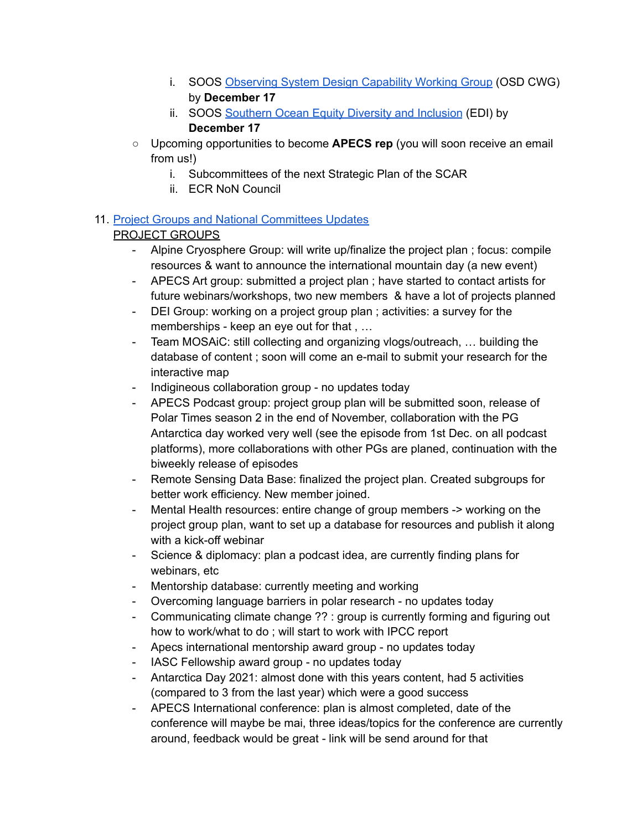- i. SOOS [Observing](https://www.apecs.is/news/apecs-news/4818-deadline-extended-looking-for-an-early-career-researcher-to-join-the-the-soos-observing-system-design-capability-working-group.html) System Design Capability Working Group (OSD CWG) by **December 17**
- ii. SOOS [Southern](https://www.apecs.is/news/apecs-news/4819-call-for-apecs-representation-on-the-soos-equity-diversity-and-inclusion-initiative.html) Ocean Equity Diversity and Inclusion (EDI) by **December 17**
- Upcoming opportunities to become **APECS rep** (you will soon receive an email from us!)
	- i. Subcommittees of the next Strategic Plan of the SCAR
	- ii. ECR NoN Council

### 11. Project Groups and National [Committees](https://docs.google.com/document/d/1Jm6NHK2vZsaIakchE8gGtaYUltvNC8gwpirsXDp5yr0/edit?usp=sharing) Updates

#### PROJECT GROUPS

- Alpine Cryosphere Group: will write up/finalize the project plan ; focus: compile resources & want to announce the international mountain day (a new event)
- APECS Art group: submitted a project plan ; have started to contact artists for future webinars/workshops, two new members & have a lot of projects planned
- DEI Group: working on a project group plan ; activities: a survey for the memberships - keep an eye out for that , …
- Team MOSAiC: still collecting and organizing vlogs/outreach, … building the database of content ; soon will come an e-mail to submit your research for the interactive map
- Indigineous collaboration group no updates today
- APECS Podcast group: project group plan will be submitted soon, release of Polar Times season 2 in the end of November, collaboration with the PG Antarctica day worked very well (see the episode from 1st Dec. on all podcast platforms), more collaborations with other PGs are planed, continuation with the biweekly release of episodes
- Remote Sensing Data Base: finalized the project plan. Created subgroups for better work efficiency. New member joined.
- Mental Health resources: entire change of group members -> working on the project group plan, want to set up a database for resources and publish it along with a kick-off webinar
- Science & diplomacy: plan a podcast idea, are currently finding plans for webinars, etc
- Mentorship database: currently meeting and working
- Overcoming language barriers in polar research no updates today
- Communicating climate change ?? : group is currently forming and figuring out how to work/what to do ; will start to work with IPCC report
- Apecs international mentorship award group no updates today
- IASC Fellowship award group no updates today
- Antarctica Day 2021: almost done with this years content, had 5 activities (compared to 3 from the last year) which were a good success
- APECS International conference: plan is almost completed, date of the conference will maybe be mai, three ideas/topics for the conference are currently around, feedback would be great - link will be send around for that